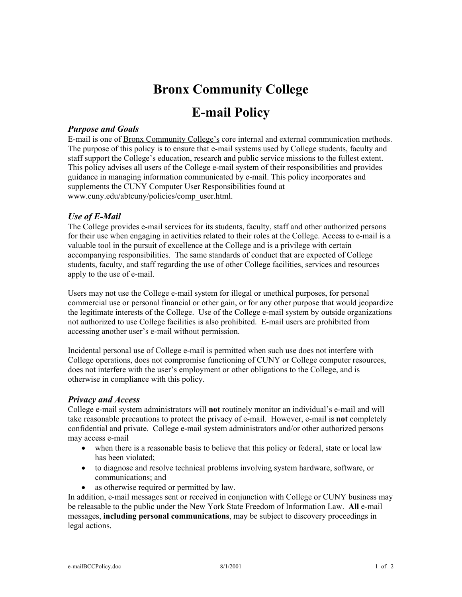# **Bronx Community College**

# **E-mail Policy**

### *Purpose and Goals*

E-mail is one of Bronx Community College's core internal and external communication methods. The purpose of this policy is to ensure that e-mail systems used by College students, faculty and staff support the College's education, research and public service missions to the fullest extent. This policy advises all users of the College e-mail system of their responsibilities and provides guidance in managing information communicated by e-mail. This policy incorporates and supplements the CUNY Computer User Responsibilities found at www.cuny.edu/abtcuny/policies/comp\_user.html.

#### *Use of E-Mail*

The College provides e-mail services for its students, faculty, staff and other authorized persons for their use when engaging in activities related to their roles at the College. Access to e-mail is a valuable tool in the pursuit of excellence at the College and is a privilege with certain accompanying responsibilities. The same standards of conduct that are expected of College students, faculty, and staff regarding the use of other College facilities, services and resources apply to the use of e-mail.

Users may not use the College e-mail system for illegal or unethical purposes, for personal commercial use or personal financial or other gain, or for any other purpose that would jeopardize the legitimate interests of the College. Use of the College e-mail system by outside organizations not authorized to use College facilities is also prohibited. E-mail users are prohibited from accessing another user's e-mail without permission.

Incidental personal use of College e-mail is permitted when such use does not interfere with College operations, does not compromise functioning of CUNY or College computer resources, does not interfere with the user's employment or other obligations to the College, and is otherwise in compliance with this policy.

#### *Privacy and Access*

College e-mail system administrators will **not** routinely monitor an individual's e-mail and will take reasonable precautions to protect the privacy of e-mail. However, e-mail is **not** completely confidential and private. College e-mail system administrators and/or other authorized persons may access e-mail

- when there is a reasonable basis to believe that this policy or federal, state or local law has been violated;
- to diagnose and resolve technical problems involving system hardware, software, or communications; and
- as otherwise required or permitted by law.

In addition, e-mail messages sent or received in conjunction with College or CUNY business may be releasable to the public under the New York State Freedom of Information Law. **All** e-mail messages, **including personal communications**, may be subject to discovery proceedings in legal actions.